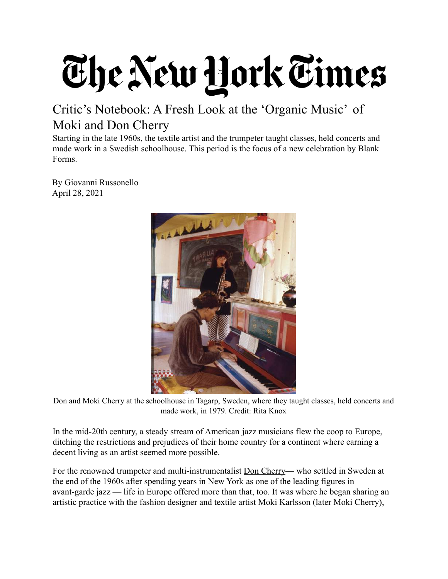## The New York Times

## Critic's Notebook: A Fresh Look at the 'Organic Music' of Moki and Don Cherry

Starting in the late 1960s, the textile artist and the trumpeter taught classes, held concerts and made work in a Swedish schoolhouse. This period is the focus of a new celebration by Blank Forms.

By Giovanni Russonello April 28, 2021



Don and Moki Cherry at the schoolhouse in Tagarp, Sweden, where they taught classes, held concerts and made work, in 1979. Credit: Rita Knox

In the mid-20th century, a steady stream of American jazz musicians flew the coop to Europe, ditching the restrictions and prejudices of their home country for a continent where earning a decent living as an artist seemed more possible.

For the renowned trumpeter and multi-instrumentalist [Don Cherry](https://www.nytimes.com/1995/10/21/arts/don-cherry-is-dead-at-58-trumpeter-of-a-lyrical-jazz.html)— who settled in Sweden at the end of the 1960s after spending years in New York as one of the leading figures in avant-garde jazz — life in Europe offered more than that, too. It was where he began sharing an artistic practice with the fashion designer and textile artist Moki Karlsson (later Moki Cherry),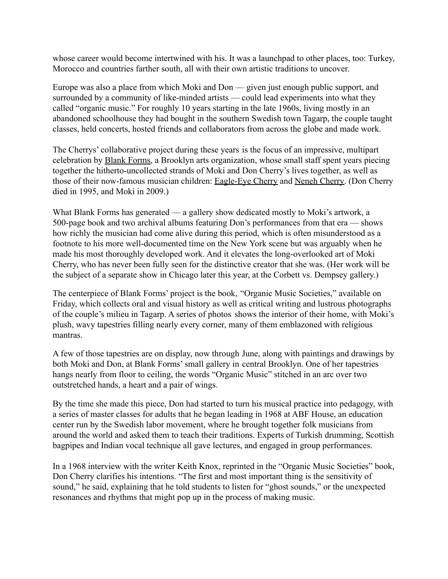whose career would become intertwined with his. It was a launchpad to other places, too: Turkey, Morocco and countries farther south, all with their own artistic traditions to uncover.

Europe was also a place from which Moki and Don — given just enough public support, and surrounded by a community of like-minded artists — could lead experiments into what they called "organic music." For roughly 10 years starting in the late 1960s, living mostly in an abandoned schoolhouse they had bought in the southern Swedish town Tagarp, the couple taught classes, held concerts, hosted friends and collaborators from across the globe and made work.

The Cherrys' collaborative project during these years is the focus of an impressive, multipart celebration by [Blank Forms,](https://blankforms.org/) a Brooklyn arts organization, whose small staff spent years piecing together the hitherto-uncollected strands of Moki and Don Cherry's lives together, as well as those of their now-famous musician children: [Eagle-Eye](https://www.youtube.com/watch?v=Nntd2fgMUYw) Cherry and [Neneh Cherry.](https://www.nytimes.com/2018/10/17/arts/music/neneh-cherry-four-tet-broken-politics.html) (Don Cherry died in 1995, and Moki in 2009.)

What Blank Forms has generated — a gallery show dedicated mostly to Moki's artwork, a 500-page book and two archival albums featuring Don's performances from that era — shows how richly the musician had come alive during this period, which is often misunderstood as a footnote to his more well-documented time on the New York scene but was arguably when he made his most thoroughly developed work. And it elevates the long-overlooked art of Moki Cherry, who has never been fully seen for the distinctive creator that she was. (Her work will be the subject of a separate show in Chicago later this year, at the Corbett vs. Dempsey gallery.)

The centerpiece of Blank Forms' project is the book, "Organic Music Societies," available on Friday, which collects oral and visual history as well as critical writing and lustrous photographs of the couple's milieu in Tagarp. A series of photos shows the interior of their home, with Moki's plush, wavy tapestries filling nearly every corner, many of them emblazoned with religious mantras.

A few of those tapestries are on display, now through June, along with paintings and drawings by both Moki and Don, at Blank Forms' small gallery in central Brooklyn. One of her tapestries hangs nearly from floor to ceiling, the words "Organic Music" stitched in an arc over two outstretched hands, a heart and a pair of wings.

By the time she made this piece, Don had started to turn his musical practice into pedagogy, with a series of master classes for adults that he began leading in 1968 at ABF House, an education center run by the Swedish labor movement, where he brought together folk musicians from around the world and asked them to teach their traditions. Experts of Turkish drumming, Scottish bagpipes and Indian vocal technique all gave lectures, and engaged in group performances.

In a 1968 interview with the writer Keith Knox, reprinted in the "Organic Music Societies" book, Don Cherry clarifies his intentions. "The first and most important thing is the sensitivity of sound," he said, explaining that he told students to listen for "ghost sounds," or the unexpected resonances and rhythms that might pop up in the process of making music.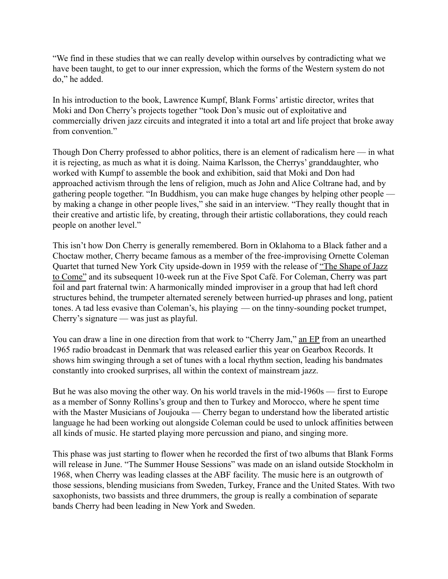"We find in these studies that we can really develop within ourselves by contradicting what we have been taught, to get to our inner expression, which the forms of the Western system do not do," he added.

In his introduction to the book, Lawrence Kumpf, Blank Forms' artistic director, writes that Moki and Don Cherry's projects together "took Don's music out of exploitative and commercially driven jazz circuits and integrated it into a total art and life project that broke away from convention."

Though Don Cherry professed to abhor politics, there is an element of radicalism here — in what it is rejecting, as much as what it is doing. Naima Karlsson, the Cherrys' granddaughter, who worked with Kumpf to assemble the book and exhibition, said that Moki and Don had approached activism through the lens of religion, much as John and Alice Coltrane had, and by gathering people together. "In Buddhism, you can make huge changes by helping other people by making a change in other people lives," she said in an interview. "They really thought that in their creative and artistic life, by creating, through their artistic collaborations, they could reach people on another level."

This isn't how Don Cherry is generally remembered. Born in Oklahoma to a Black father and a Choctaw mother, Cherry became famous as a member of the free-improvising Ornette Coleman Quartet that turned New York City upside-down in 1959 with the release of ["The Shape of Jazz](https://www.youtube.com/watch?v=YMasmoE-_vY&list=PLVOYDgXAn1KLppLy-ZWM9DfEFPsX2u6MM) [to Come"](https://www.youtube.com/watch?v=YMasmoE-_vY&list=PLVOYDgXAn1KLppLy-ZWM9DfEFPsX2u6MM) and its subsequent 10-week run at the Five Spot Café. For Coleman, Cherry was part foil and part fraternal twin: A harmonically minded improviser in a group that had left chord structures behind, the trumpeter alternated serenely between hurried-up phrases and long, patient tones. A tad less evasive than Coleman's, his playing — on the tinny-sounding pocket trumpet, Cherry's signature — was just as playful.

You can draw a line in one direction from that work to "Cherry Jam," [an EP](https://thevinylfactory.com/news/don-cherry-cherry-jam-ep-gets-new-vinyl-release/) from an unearthed 1965 radio broadcast in Denmark that was released earlier this year on Gearbox Records. It shows him swinging through a set of tunes with a local rhythm section, leading his bandmates constantly into crooked surprises, all within the context of mainstream jazz.

But he was also moving the other way. On his world travels in the mid-1960s — first to Europe as a member of Sonny Rollins's group and then to Turkey and Morocco, where he spent time with the Master Musicians of Joujouka — Cherry began to understand how the liberated artistic language he had been working out alongside Coleman could be used to unlock affinities between all kinds of music. He started playing more percussion and piano, and singing more.

This phase was just starting to flower when he recorded the first of two albums that Blank Forms will release in June. "The Summer House Sessions" was made on an island outside Stockholm in 1968, when Cherry was leading classes at the ABF facility. The music here is an outgrowth of those sessions, blending musicians from Sweden, Turkey, France and the United States. With two saxophonists, two bassists and three drummers, the group is really a combination of separate bands Cherry had been leading in New York and Sweden.